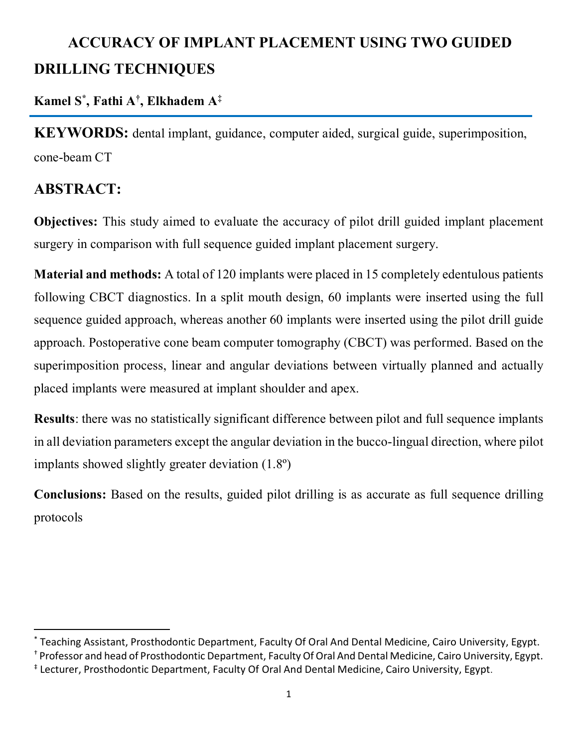# **ACCURACY OF IMPLANT PLACEMENT USING TWO GUIDED DRILLING TECHNIQUES**

## **Kamel S\* , Fathi A† , Elkhadem A ‡**

**KEYWORDS:** dental implant, guidance, computer aided, surgical guide, superimposition, cone-beam CT

## **ABSTRACT:**

 $\overline{\phantom{a}}$ 

**Objectives:** This study aimed to evaluate the accuracy of pilot drill guided implant placement surgery in comparison with full sequence guided implant placement surgery.

**Material and methods:** A total of 120 implants were placed in 15 completely edentulous patients following CBCT diagnostics. In a split mouth design, 60 implants were inserted using the full sequence guided approach, whereas another 60 implants were inserted using the pilot drill guide approach. Postoperative cone beam computer tomography (CBCT) was performed. Based on the superimposition process, linear and angular deviations between virtually planned and actually placed implants were measured at implant shoulder and apex.

**Results**: there was no statistically significant difference between pilot and full sequence implants in all deviation parameters except the angular deviation in the bucco-lingual direction, where pilot implants showed slightly greater deviation (1.8º)

**Conclusions:** Based on the results, guided pilot drilling is as accurate as full sequence drilling protocols

<sup>\*</sup> Teaching Assistant, Prosthodontic Department, Faculty Of Oral And Dental Medicine, Cairo University, Egypt. † Professor and head of Prosthodontic Department, Faculty Of Oral And Dental Medicine, Cairo University, Egypt. ‡ Lecturer, Prosthodontic Department, Faculty Of Oral And Dental Medicine, Cairo University, Egypt.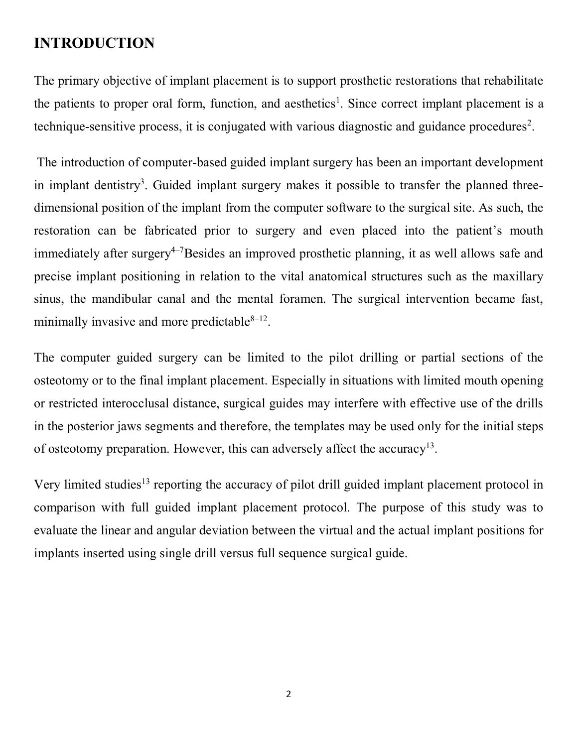## **INTRODUCTION**

The primary objective of implant placement is to support prosthetic restorations that rehabilitate the patients to proper oral form, function, and aesthetics<sup>1</sup>. Since correct implant placement is a technique-sensitive process, it is conjugated with various diagnostic and guidance procedures<sup>2</sup>.

The introduction of computer-based guided implant surgery has been an important development in implant dentistry<sup>3</sup>. Guided implant surgery makes it possible to transfer the planned threedimensional position of the implant from the computer software to the surgical site. As such, the restoration can be fabricated prior to surgery and even placed into the patient's mouth immediately after surgery<sup>4-7</sup>Besides an improved prosthetic planning, it as well allows safe and precise implant positioning in relation to the vital anatomical structures such as the maxillary sinus, the mandibular canal and the mental foramen. The surgical intervention became fast, minimally invasive and more predictable $8-12$ .

The computer guided surgery can be limited to the pilot drilling or partial sections of the osteotomy or to the final implant placement. Especially in situations with limited mouth opening or restricted interocclusal distance, surgical guides may interfere with effective use of the drills in the posterior jaws segments and therefore, the templates may be used only for the initial steps of osteotomy preparation. However, this can adversely affect the accuracy<sup>13</sup>.

Very limited studies<sup>13</sup> reporting the accuracy of pilot drill guided implant placement protocol in comparison with full guided implant placement protocol. The purpose of this study was to evaluate the linear and angular deviation between the virtual and the actual implant positions for implants inserted using single drill versus full sequence surgical guide.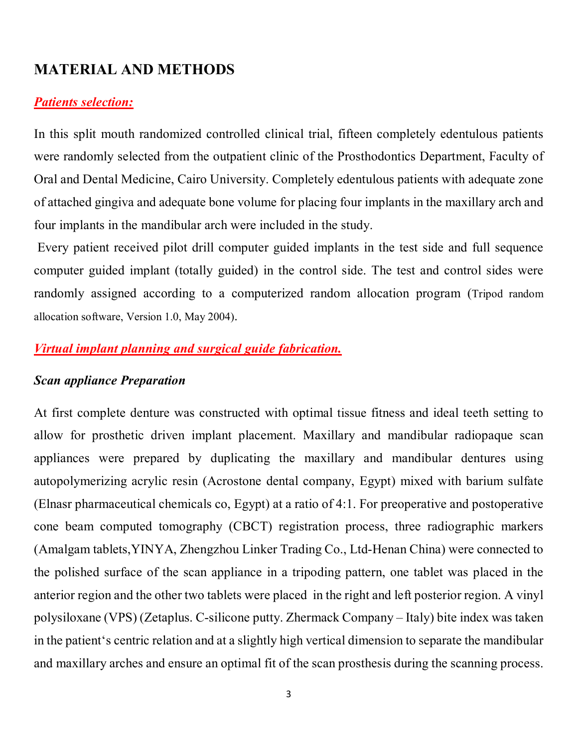## **MATERIAL AND METHODS**

#### *Patients selection:*

In this split mouth randomized controlled clinical trial, fifteen completely edentulous patients were randomly selected from the outpatient clinic of the Prosthodontics Department, Faculty of Oral and Dental Medicine, Cairo University. Completely edentulous patients with adequate zone of attached gingiva and adequate bone volume for placing four implants in the maxillary arch and four implants in the mandibular arch were included in the study.

Every patient received pilot drill computer guided implants in the test side and full sequence computer guided implant (totally guided) in the control side. The test and control sides were randomly assigned according to a computerized random allocation program (Tripod random allocation software, Version 1.0, May 2004).

#### *Virtual implant planning and surgical guide fabrication.*

#### *Scan appliance Preparation*

At first complete denture was constructed with optimal tissue fitness and ideal teeth setting to allow for prosthetic driven implant placement. Maxillary and mandibular radiopaque scan appliances were prepared by duplicating the maxillary and mandibular dentures using autopolymerizing acrylic resin (Acrostone dental company, Egypt) mixed with barium sulfate (Elnasr pharmaceutical chemicals co, Egypt) at a ratio of 4:1. For preoperative and postoperative cone beam computed tomography (CBCT) registration process, three radiographic markers (Amalgam tablets,YINYA, Zhengzhou Linker Trading Co., Ltd-Henan China) were connected to the polished surface of the scan appliance in a tripoding pattern, one tablet was placed in the anterior region and the other two tablets were placed in the right and left posterior region. A vinyl polysiloxane (VPS) (Zetaplus. C-silicone putty. Zhermack Company – Italy) bite index was taken in the patient's centric relation and at a slightly high vertical dimension to separate the mandibular and maxillary arches and ensure an optimal fit of the scan prosthesis during the scanning process.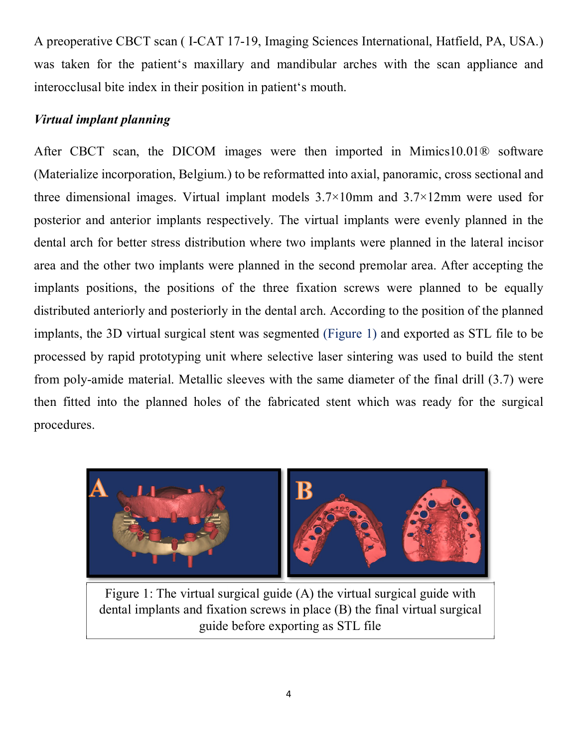A preoperative CBCT scan ( I-CAT 17-19, Imaging Sciences International, Hatfield, PA, USA.) was taken for the patient's maxillary and mandibular arches with the scan appliance and interocclusal bite index in their position in patient's mouth.

#### *Virtual implant planning*

After CBCT scan, the DICOM images were then imported in Mimics10.01® software (Materialize incorporation, Belgium.) to be reformatted into axial, panoramic, cross sectional and three dimensional images. Virtual implant models  $3.7\times10$  mm and  $3.7\times12$  mm were used for posterior and anterior implants respectively. The virtual implants were evenly planned in the dental arch for better stress distribution where two implants were planned in the lateral incisor area and the other two implants were planned in the second premolar area. After accepting the implants positions, the positions of the three fixation screws were planned to be equally distributed anteriorly and posteriorly in the dental arch. According to the position of the planned implants, the 3D virtual surgical stent was segmented (Figure 1) and exported as STL file to be processed by rapid prototyping unit where selective laser sintering was used to build the stent from poly-amide material. Metallic sleeves with the same diameter of the final drill (3.7) were then fitted into the planned holes of the fabricated stent which was ready for the surgical procedures.



Figure 1: The virtual surgical guide (A) the virtual surgical guide with dental implants and fixation screws in place (B) the final virtual surgical guide before exporting as STL file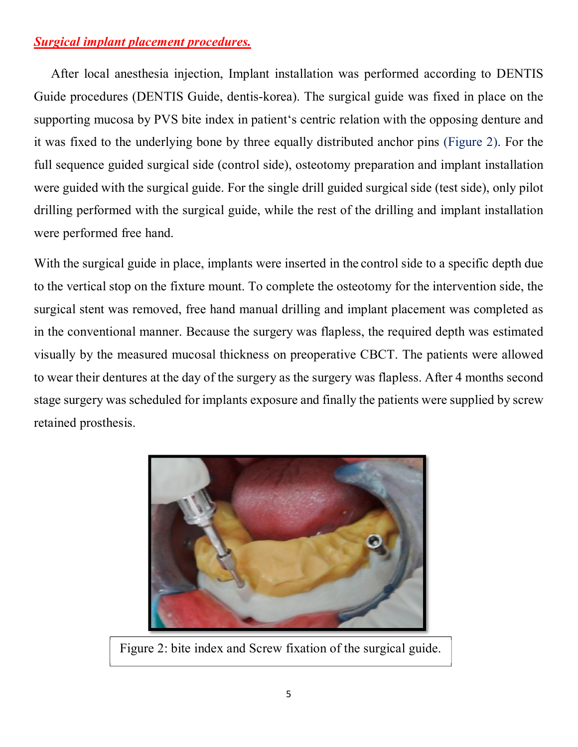#### *Surgical implant placement procedures.*

After local anesthesia injection, Implant installation was performed according to DENTIS Guide procedures (DENTIS Guide, dentis-korea). The surgical guide was fixed in place on the supporting mucosa by PVS bite index in patient's centric relation with the opposing denture and it was fixed to the underlying bone by three equally distributed anchor pins (Figure 2). For the full sequence guided surgical side (control side), osteotomy preparation and implant installation were guided with the surgical guide. For the single drill guided surgical side (test side), only pilot drilling performed with the surgical guide, while the rest of the drilling and implant installation were performed free hand.

With the surgical guide in place, implants were inserted in the control side to a specific depth due to the vertical stop on the fixture mount. To complete the osteotomy for the intervention side, the surgical stent was removed, free hand manual drilling and implant placement was completed as in the conventional manner. Because the surgery was flapless, the required depth was estimated visually by the measured mucosal thickness on preoperative CBCT. The patients were allowed to wear their dentures at the day of the surgery as the surgery was flapless. After 4 months second stage surgery was scheduled for implants exposure and finally the patients were supplied by screw retained prosthesis.



Figure 2: bite index and Screw fixation of the surgical guide.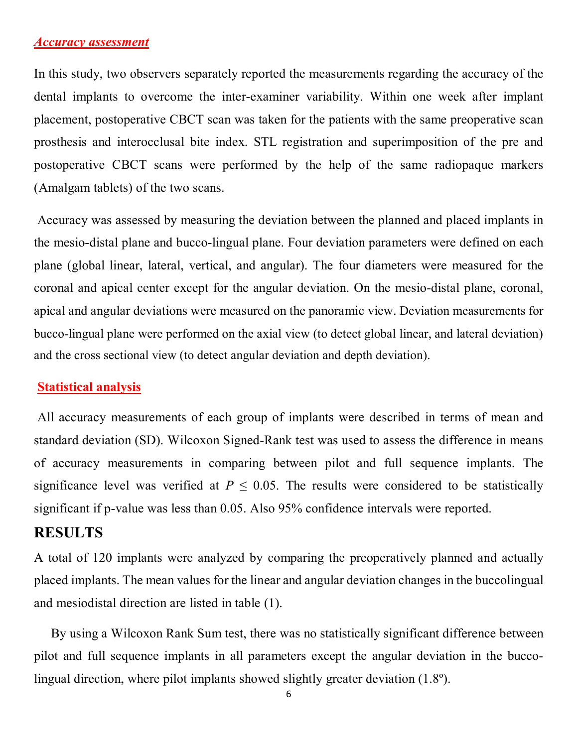#### *Accuracy assessment*

In this study, two observers separately reported the measurements regarding the accuracy of the dental implants to overcome the inter-examiner variability. Within one week after implant placement, postoperative CBCT scan was taken for the patients with the same preoperative scan prosthesis and interocclusal bite index. STL registration and superimposition of the pre and postoperative CBCT scans were performed by the help of the same radiopaque markers (Amalgam tablets) of the two scans.

Accuracy was assessed by measuring the deviation between the planned and placed implants in the mesio-distal plane and bucco-lingual plane. Four deviation parameters were defined on each plane (global linear, lateral, vertical, and angular). The four diameters were measured for the coronal and apical center except for the angular deviation. On the mesio-distal plane, coronal, apical and angular deviations were measured on the panoramic view. Deviation measurements for bucco-lingual plane were performed on the axial view (to detect global linear, and lateral deviation) and the cross sectional view (to detect angular deviation and depth deviation).

#### **Statistical analysis**

All accuracy measurements of each group of implants were described in terms of mean and standard deviation (SD). Wilcoxon Signed-Rank test was used to assess the difference in means of accuracy measurements in comparing between pilot and full sequence implants. The significance level was verified at  $P \leq 0.05$ . The results were considered to be statistically significant if p-value was less than 0.05. Also 95% confidence intervals were reported.

#### **RESULTS**

A total of 120 implants were analyzed by comparing the preoperatively planned and actually placed implants. The mean values for the linear and angular deviation changes in the buccolingual and mesiodistal direction are listed in table (1).

By using a Wilcoxon Rank Sum test, there was no statistically significant difference between pilot and full sequence implants in all parameters except the angular deviation in the buccolingual direction, where pilot implants showed slightly greater deviation (1.8º).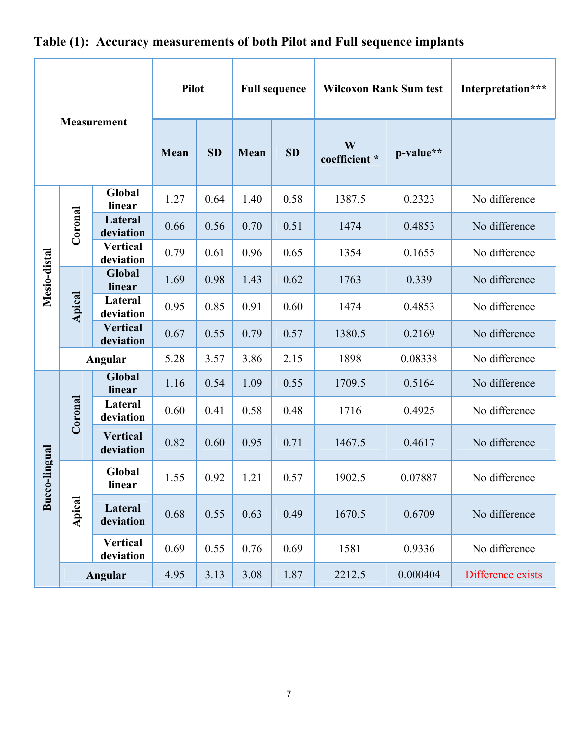| <b>Measurement</b> |         |                              | <b>Pilot</b> |           | <b>Full sequence</b> |           | <b>Wilcoxon Rank Sum test</b> |           | Interpretation*** |
|--------------------|---------|------------------------------|--------------|-----------|----------------------|-----------|-------------------------------|-----------|-------------------|
|                    |         |                              | Mean         | <b>SD</b> | Mean                 | <b>SD</b> | W<br>coefficient *            | p-value** |                   |
| Mesio-distal       | Coronal | Global<br>linear             | 1.27         | 0.64      | 1.40                 | 0.58      | 1387.5                        | 0.2323    | No difference     |
|                    |         | Lateral<br>deviation         | 0.66         | 0.56      | 0.70                 | 0.51      | 1474                          | 0.4853    | No difference     |
|                    |         | <b>Vertical</b><br>deviation | 0.79         | 0.61      | 0.96                 | 0.65      | 1354                          | 0.1655    | No difference     |
|                    | Apical  | <b>Global</b><br>linear      | 1.69         | 0.98      | 1.43                 | 0.62      | 1763                          | 0.339     | No difference     |
|                    |         | Lateral<br>deviation         | 0.95         | 0.85      | 0.91                 | 0.60      | 1474                          | 0.4853    | No difference     |
|                    |         | <b>Vertical</b><br>deviation | 0.67         | 0.55      | 0.79                 | 0.57      | 1380.5                        | 0.2169    | No difference     |
|                    | Angular |                              | 5.28         | 3.57      | 3.86                 | 2.15      | 1898                          | 0.08338   | No difference     |
| Bucco-lingual      | Coronal | <b>Global</b><br>linear      | 1.16         | 0.54      | 1.09                 | 0.55      | 1709.5                        | 0.5164    | No difference     |
|                    |         | Lateral<br>deviation         | 0.60         | 0.41      | 0.58                 | 0.48      | 1716                          | 0.4925    | No difference     |
|                    |         | <b>Vertical</b><br>deviation | 0.82         | 0.60      | 0.95                 | 0.71      | 1467.5                        | 0.4617    | No difference     |
|                    | Apical  | Global<br>linear             | 1.55         | 0.92      | 1.21                 | 0.57      | 1902.5                        | 0.07887   | No difference     |
|                    |         | Lateral<br>deviation         | 0.68         | 0.55      | 0.63                 | 0.49      | 1670.5                        | 0.6709    | No difference     |
|                    |         | <b>Vertical</b><br>deviation | 0.69         | 0.55      | 0.76                 | 0.69      | 1581                          | 0.9336    | No difference     |
|                    | Angular |                              | 4.95         | 3.13      | 3.08                 | 1.87      | 2212.5                        | 0.000404  | Difference exists |

## **Table (1): Accuracy measurements of both Pilot and Full sequence implants**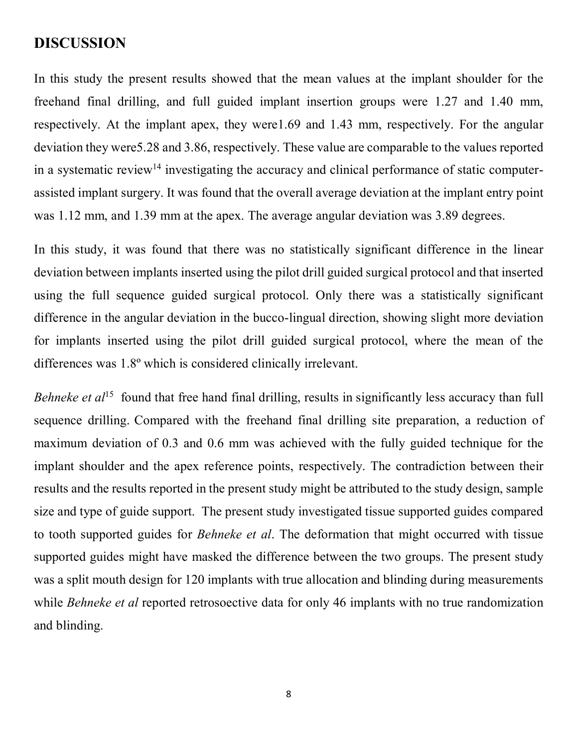### **DISCUSSION**

In this study the present results showed that the mean values at the implant shoulder for the freehand final drilling, and full guided implant insertion groups were 1.27 and 1.40 mm, respectively. At the implant apex, they were1.69 and 1.43 mm, respectively. For the angular deviation they were5.28 and 3.86, respectively. These value are comparable to the values reported in a systematic review<sup>14</sup> investigating the accuracy and clinical performance of static computerassisted implant surgery. It was found that the overall average deviation at the implant entry point was 1.12 mm, and 1.39 mm at the apex. The average angular deviation was 3.89 degrees.

In this study, it was found that there was no statistically significant difference in the linear deviation between implants inserted using the pilot drill guided surgical protocol and that inserted using the full sequence guided surgical protocol. Only there was a statistically significant difference in the angular deviation in the bucco-lingual direction, showing slight more deviation for implants inserted using the pilot drill guided surgical protocol, where the mean of the differences was 1.8º which is considered clinically irrelevant.

Behneke et al<sup>15</sup> found that free hand final drilling, results in significantly less accuracy than full sequence drilling. Compared with the freehand final drilling site preparation, a reduction of maximum deviation of 0.3 and 0.6 mm was achieved with the fully guided technique for the implant shoulder and the apex reference points, respectively. The contradiction between their results and the results reported in the present study might be attributed to the study design, sample size and type of guide support. The present study investigated tissue supported guides compared to tooth supported guides for *Behneke et al*. The deformation that might occurred with tissue supported guides might have masked the difference between the two groups. The present study was a split mouth design for 120 implants with true allocation and blinding during measurements while *Behneke et al* reported retrosoective data for only 46 implants with no true randomization and blinding.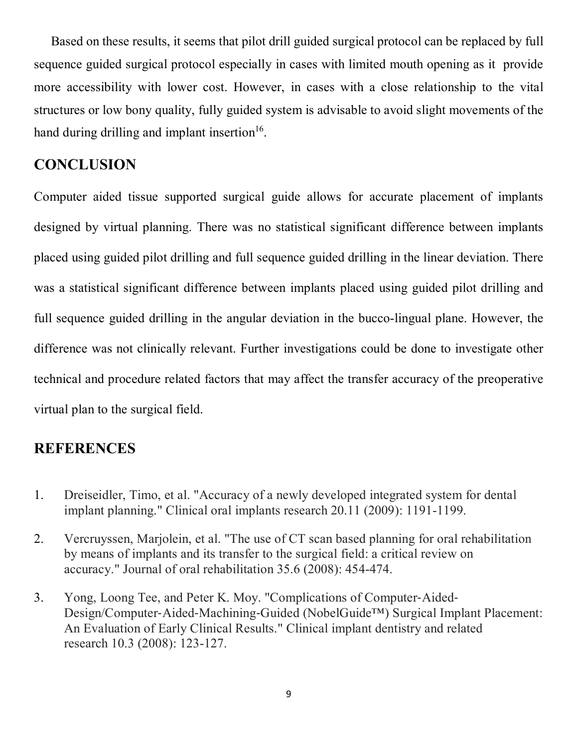Based on these results, it seems that pilot drill guided surgical protocol can be replaced by full sequence guided surgical protocol especially in cases with limited mouth opening as it provide more accessibility with lower cost. However, in cases with a close relationship to the vital structures or low bony quality, fully guided system is advisable to avoid slight movements of the hand during drilling and implant insertion<sup>16</sup>.

### **CONCLUSION**

Computer aided tissue supported surgical guide allows for accurate placement of implants designed by virtual planning. There was no statistical significant difference between implants placed using guided pilot drilling and full sequence guided drilling in the linear deviation. There was a statistical significant difference between implants placed using guided pilot drilling and full sequence guided drilling in the angular deviation in the bucco-lingual plane. However, the difference was not clinically relevant. Further investigations could be done to investigate other technical and procedure related factors that may affect the transfer accuracy of the preoperative virtual plan to the surgical field.

## **REFERENCES**

- 1. Dreiseidler, Timo, et al. "Accuracy of a newly developed integrated system for dental implant planning." Clinical oral implants research 20.11 (2009): 1191-1199.
- 2. Vercruyssen, Marjolein, et al. "The use of CT scan based planning for oral rehabilitation by means of implants and its transfer to the surgical field: a critical review on accuracy." Journal of oral rehabilitation 35.6 (2008): 454-474.
- 3. Yong, Loong Tee, and Peter K. Moy. "Complications of Computer‐Aided‐ Design/Computer‐Aided‐Machining‐Guided (NobelGuide™) Surgical Implant Placement: An Evaluation of Early Clinical Results." Clinical implant dentistry and related research 10.3 (2008): 123-127.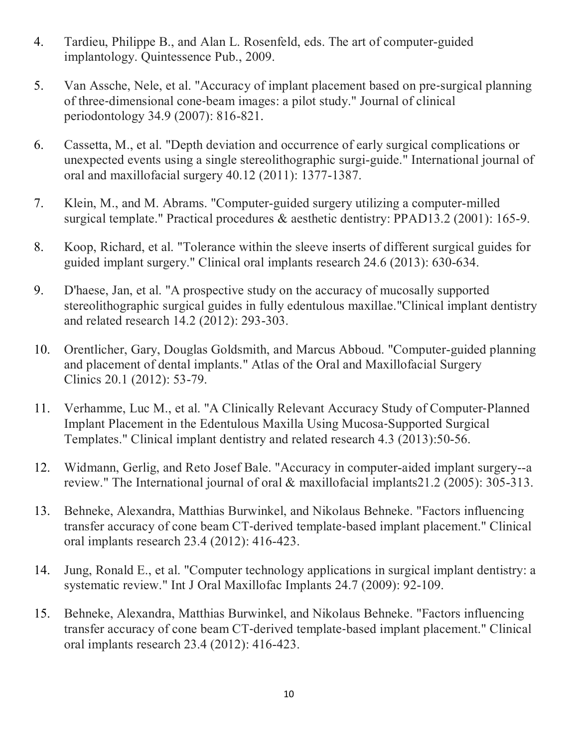- 4. Tardieu, Philippe B., and Alan L. Rosenfeld, eds. The art of computer-guided implantology. Quintessence Pub., 2009.
- 5. Van Assche, Nele, et al. "Accuracy of implant placement based on pre‐surgical planning of three‐dimensional cone‐beam images: a pilot study." Journal of clinical periodontology 34.9 (2007): 816-821.
- 6. Cassetta, M., et al. "Depth deviation and occurrence of early surgical complications or unexpected events using a single stereolithographic surgi-guide." International journal of oral and maxillofacial surgery 40.12 (2011): 1377-1387.
- 7. Klein, M., and M. Abrams. "Computer-guided surgery utilizing a computer-milled surgical template." Practical procedures & aesthetic dentistry: PPAD13.2 (2001): 165-9.
- 8. Koop, Richard, et al. "Tolerance within the sleeve inserts of different surgical guides for guided implant surgery." Clinical oral implants research 24.6 (2013): 630-634.
- 9. D'haese, Jan, et al. "A prospective study on the accuracy of mucosally supported stereolithographic surgical guides in fully edentulous maxillae."Clinical implant dentistry and related research 14.2 (2012): 293-303.
- 10. Orentlicher, Gary, Douglas Goldsmith, and Marcus Abboud. "Computer-guided planning and placement of dental implants." Atlas of the Oral and Maxillofacial Surgery Clinics 20.1 (2012): 53-79.
- 11. Verhamme, Luc M., et al. "A Clinically Relevant Accuracy Study of Computer-Planned Implant Placement in the Edentulous Maxilla Using Mucosa‐Supported Surgical Templates." Clinical implant dentistry and related research 4.3 (2013):50-56.
- 12. Widmann, Gerlig, and Reto Josef Bale. "Accuracy in computer-aided implant surgery--a review." The International journal of oral & maxillofacial implants21.2 (2005): 305-313.
- 13. Behneke, Alexandra, Matthias Burwinkel, and Nikolaus Behneke. "Factors influencing transfer accuracy of cone beam CT‐derived template‐based implant placement." Clinical oral implants research 23.4 (2012): 416-423.
- 14. Jung, Ronald E., et al. "Computer technology applications in surgical implant dentistry: a systematic review." Int J Oral Maxillofac Implants 24.7 (2009): 92-109.
- 15. Behneke, Alexandra, Matthias Burwinkel, and Nikolaus Behneke. "Factors influencing transfer accuracy of cone beam CT‐derived template‐based implant placement." Clinical oral implants research 23.4 (2012): 416-423.